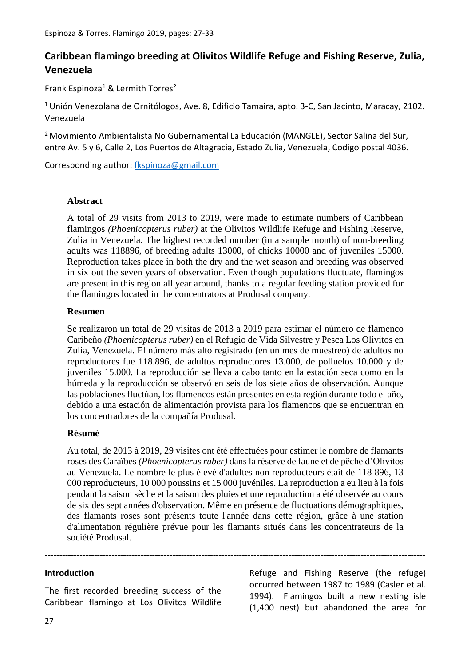# **Caribbean flamingo breeding at Olivitos Wildlife Refuge and Fishing Reserve, Zulia, Venezuela**

Frank Espinoza<sup>1</sup> & Lermith Torres<sup>2</sup>

<sup>1</sup>Unión Venezolana de Ornitólogos, Ave. 8, Edificio Tamaira, apto. 3-C, San Jacinto, Maracay, 2102. Venezuela

<sup>2</sup> Movimiento Ambientalista No Gubernamental La Educación (MANGLE), Sector Salina del Sur, entre Av. 5 y 6, Calle 2, Los Puertos de Altagracia, Estado Zulia, Venezuela, Codigo postal 4036.

Corresponding author: [fkspinoza@gmail.com](mailto:fkspinoza@gmail.com)

### **Abstract**

A total of 29 visits from 2013 to 2019, were made to estimate numbers of Caribbean flamingos *(Phoenicopterus ruber)* at the Olivitos Wildlife Refuge and Fishing Reserve, Zulia in Venezuela. The highest recorded number (in a sample month) of non-breeding adults was 118896, of breeding adults 13000, of chicks 10000 and of juveniles 15000. Reproduction takes place in both the dry and the wet season and breeding was observed in six out the seven years of observation. Even though populations fluctuate, flamingos are present in this region all year around, thanks to a regular feeding station provided for the flamingos located in the concentrators at Produsal company.

# **Resumen**

Se realizaron un total de 29 visitas de 2013 a 2019 para estimar el número de flamenco Caribeño *(Phoenicopterus ruber)* en el Refugio de Vida Silvestre y Pesca Los Olivitos en Zulia, Venezuela. El número más alto registrado (en un mes de muestreo) de adultos no reproductores fue 118.896, de adultos reproductores 13.000, de polluelos 10.000 y de juveniles 15.000. La reproducción se lleva a cabo tanto en la estación seca como en la húmeda y la reproducción se observó en seis de los siete años de observación. Aunque las poblaciones fluctúan, los flamencos están presentes en esta región durante todo el año, debido a una estación de alimentación provista para los flamencos que se encuentran en los concentradores de la compañía Produsal.

# **Résumé**

Au total, de 2013 à 2019, 29 visites ont été effectuées pour estimer le nombre de flamants roses des Caraïbes *(Phoenicopterus ruber)* dans la réserve de faune et de pêche d'Olivitos au Venezuela. Le nombre le plus élevé d'adultes non reproducteurs était de 118 896, 13 000 reproducteurs, 10 000 poussins et 15 000 juvéniles. La reproduction a eu lieu à la fois pendant la saison sèche et la saison des pluies et une reproduction a été observée au cours de six des sept années d'observation. Même en présence de fluctuations démographiques, des flamants roses sont présents toute l'année dans cette région, grâce à une station d'alimentation régulière prévue pour les flamants situés dans les concentrateurs de la société Produsal.

**-----------------------------------------------------------------------------------------------------------------------------------**

#### **Introduction**

The first recorded breeding success of the Caribbean flamingo at Los Olivitos Wildlife

Refuge and Fishing Reserve (the refuge) occurred between 1987 to 1989 (Casler et al. 1994). Flamingos built a new nesting isle (1,400 nest) but abandoned the area for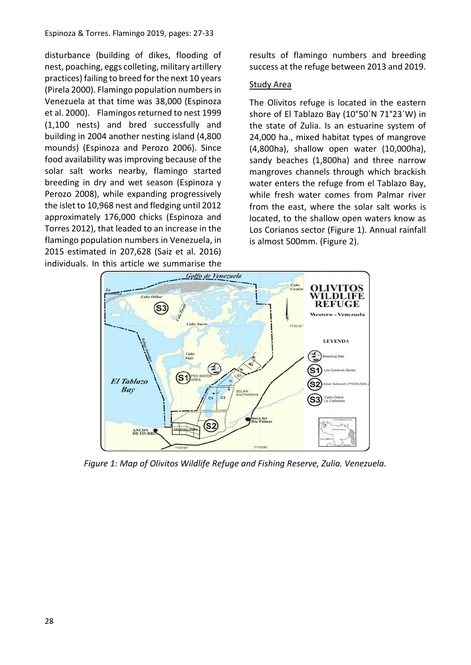#### Espinoza & Torres. Flamingo 2019, pages: 27-33

disturbance (building of dikes, flooding of nest, poaching, eggs colleting, military artillery practices) failing to breed for the next 10 years (Pirela 2000). Flamingo population numbers in Venezuela at that time was 38,000 (Espinoza et al. 2000). Flamingos returned to nest 1999 (1,100 nests) and bred successfully and building in 2004 another nesting island (4,800 mounds) (Espinoza and Perozo 2006). Since food availability was improving because of the solar salt works nearby, flamingo started breeding in dry and wet season (Espinoza y Perozo 2008), while expanding progressively the islet to 10,968 nest and fledging until 2012 approximately 176,000 chicks (Espinoza and Torres 2012), that leaded to an increase in the flamingo population numbers in Venezuela, in 2015 estimated in 207,628 (Saiz et al. 2016) individuals. In this article we summarise the

results of flamingo numbers and breeding success at the refuge between 2013 and 2019.

### Study Area

The Olivitos refuge is located in the eastern shore of El Tablazo Bay (10°50´N 71°23´W) in the state of Zulia. Is an estuarine system of 24,000 ha., mixed habitat types of mangrove (4,800ha), shallow open water (10,000ha), sandy beaches (1,800ha) and three narrow mangroves channels through which brackish water enters the refuge from el Tablazo Bay, while fresh water comes from Palmar river from the east, where the solar salt works is located, to the shallow open waters know as Los Corianos sector (Figure 1). Annual rainfall is almost 500mm. (Figure 2).



*Figure 1: Map of Olivitos Wildlife Refuge and Fishing Reserve, Zulia. Venezuela.*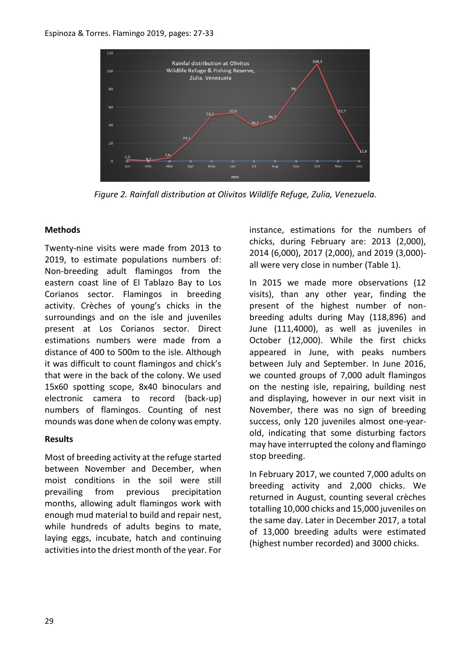

*Figure 2. Rainfall distribution at Olivitos Wildlife Refuge, Zulia, Venezuela.*

# **Methods**

Twenty-nine visits were made from 2013 to 2019, to estimate populations numbers of: Non-breeding adult flamingos from the eastern coast line of El Tablazo Bay to Los Corianos sector. Flamingos in breeding activity. Crèches of young's chicks in the surroundings and on the isle and juveniles present at Los Corianos sector. Direct estimations numbers were made from a distance of 400 to 500m to the isle. Although it was difficult to count flamingos and chick's that were in the back of the colony. We used 15x60 spotting scope, 8x40 binoculars and electronic camera to record (back-up) numbers of flamingos. Counting of nest mounds was done when de colony was empty.

# **Results**

Most of breeding activity at the refuge started between November and December, when moist conditions in the soil were still prevailing from previous precipitation months, allowing adult flamingos work with enough mud material to build and repair nest, while hundreds of adults begins to mate, laying eggs, incubate, hatch and continuing activities into the driest month of the year. For instance, estimations for the numbers of chicks, during February are: 2013 (2,000), 2014 (6,000), 2017 (2,000), and 2019 (3,000) all were very close in number (Table 1).

In 2015 we made more observations (12 visits), than any other year, finding the present of the highest number of nonbreeding adults during May (118,896) and June (111,4000), as well as juveniles in October (12,000). While the first chicks appeared in June, with peaks numbers between July and September. In June 2016, we counted groups of 7,000 adult flamingos on the nesting isle, repairing, building nest and displaying, however in our next visit in November, there was no sign of breeding success, only 120 juveniles almost one-yearold, indicating that some disturbing factors may have interrupted the colony and flamingo stop breeding.

In February 2017, we counted 7,000 adults on breeding activity and 2,000 chicks. We returned in August, counting several crèches totalling 10,000 chicks and 15,000 juveniles on the same day. Later in December 2017, a total of 13,000 breeding adults were estimated (highest number recorded) and 3000 chicks.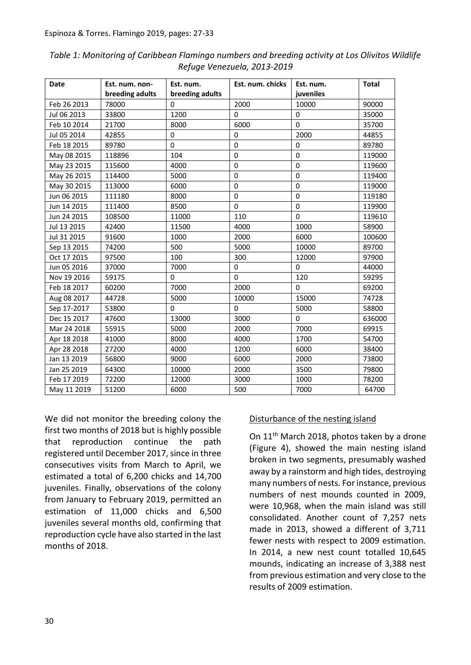| Date        | Est. num. non-  | Est. num.       | Est. num. chicks | Est. num.   | <b>Total</b> |
|-------------|-----------------|-----------------|------------------|-------------|--------------|
|             | breeding adults | breeding adults |                  | juveniles   |              |
| Feb 26 2013 | 78000           | 0               | 2000             | 10000       | 90000        |
| Jul 06 2013 | 33800           | 1200            | $\Omega$         | $\Omega$    | 35000        |
| Feb 10 2014 | 21700           | 8000            | 6000             | $\Omega$    | 35700        |
| Jul 05 2014 | 42855           | $\Omega$        | $\Omega$         | 2000        | 44855        |
| Feb 18 2015 | 89780           | $\Omega$        | $\Omega$         | $\Omega$    | 89780        |
| May 08 2015 | 118896          | 104             | 0                | $\Omega$    | 119000       |
| May 23 2015 | 115600          | 4000            | $\mathbf 0$      | $\mathbf 0$ | 119600       |
| May 26 2015 | 114400          | 5000            | $\mathbf 0$      | $\mathbf 0$ | 119400       |
| May 30 2015 | 113000          | 6000            | 0                | $\mathbf 0$ | 119000       |
| Jun 06 2015 | 111180          | 8000            | $\mathbf 0$      | $\mathbf 0$ | 119180       |
| Jun 14 2015 | 111400          | 8500            | 0                | $\mathbf 0$ | 119900       |
| Jun 24 2015 | 108500          | 11000           | 110              | $\mathbf 0$ | 119610       |
| Jul 13 2015 | 42400           | 11500           | 4000             | 1000        | 58900        |
| Jul 31 2015 | 91600           | 1000            | 2000             | 6000        | 100600       |
| Sep 13 2015 | 74200           | 500             | 5000             | 10000       | 89700        |
| Oct 17 2015 | 97500           | 100             | 300              | 12000       | 97900        |
| Jun 05 2016 | 37000           | 7000            | $\Omega$         | $\Omega$    | 44000        |
| Nov 19 2016 | 59175           | 0               | 0                | 120         | 59295        |
| Feb 18 2017 | 60200           | 7000            | 2000             | $\Omega$    | 69200        |
| Aug 08 2017 | 44728           | 5000            | 10000            | 15000       | 74728        |
| Sep 17-2017 | 53800           | 0               | $\Omega$         | 5000        | 58800        |
| Dec 15 2017 | 47600           | 13000           | 3000             | $\Omega$    | 636000       |
| Mar 24 2018 | 55915           | 5000            | 2000             | 7000        | 69915        |
| Apr 18 2018 | 41000           | 8000            | 4000             | 1700        | 54700        |
| Apr 28 2018 | 27200           | 4000            | 1200             | 6000        | 38400        |
| Jan 13 2019 | 56800           | 9000            | 6000             | 2000        | 73800        |
| Jan 25 2019 | 64300           | 10000           | 2000             | 3500        | 79800        |
| Feb 17 2019 | 72200           | 12000           | 3000             | 1000        | 78200        |
| May 11 2019 | 51200           | 6000            | 500              | 7000        | 64700        |

*Table 1: Monitoring of Caribbean Flamingo numbers and breeding activity at Los Olivitos Wildlife Refuge Venezuela, 2013-2019*

We did not monitor the breeding colony the first two months of 2018 but is highly possible that reproduction continue the path registered until December 2017, since in three consecutives visits from March to April, we estimated a total of 6,200 chicks and 14,700 juveniles. Finally, observations of the colony from January to February 2019, permitted an estimation of 11,000 chicks and 6,500 juveniles several months old, confirming that reproduction cycle have also started in the last months of 2018.

# Disturbance of the nesting island

On 11<sup>th</sup> March 2018, photos taken by a drone (Figure 4), showed the main nesting island broken in two segments, presumably washed away by a rainstorm and high tides, destroying many numbers of nests. For instance, previous numbers of nest mounds counted in 2009, were 10,968, when the main island was still consolidated. Another count of 7,257 nets made in 2013, showed a different of 3,711 fewer nests with respect to 2009 estimation. In 2014, a new nest count totalled 10,645 mounds, indicating an increase of 3,388 nest from previous estimation and very close to the results of 2009 estimation.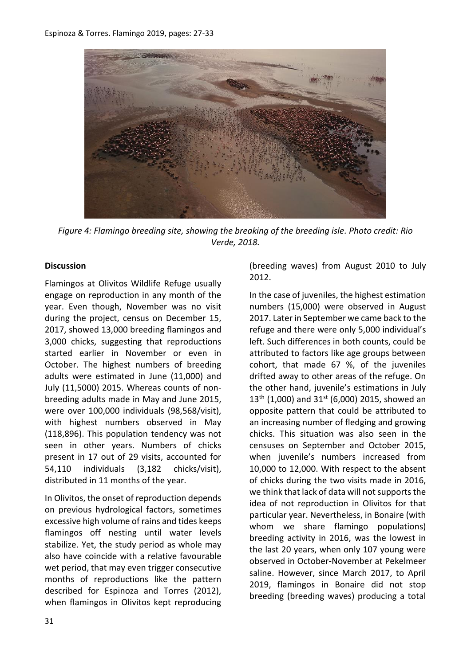

*Figure 4: Flamingo breeding site, showing the breaking of the breeding isle. Photo credit: Rio Verde, 2018.*

#### **Discussion**

Flamingos at Olivitos Wildlife Refuge usually engage on reproduction in any month of the year. Even though, November was no visit during the project, census on December 15, 2017, showed 13,000 breeding flamingos and 3,000 chicks, suggesting that reproductions started earlier in November or even in October. The highest numbers of breeding adults were estimated in June (11,000) and July (11,5000) 2015. Whereas counts of nonbreeding adults made in May and June 2015, were over 100,000 individuals (98,568/visit), with highest numbers observed in May (118,896). This population tendency was not seen in other years. Numbers of chicks present in 17 out of 29 visits, accounted for 54,110 individuals (3,182 chicks/visit), distributed in 11 months of the year.

In Olivitos, the onset of reproduction depends on previous hydrological factors, sometimes excessive high volume of rains and tides keeps flamingos off nesting until water levels stabilize. Yet, the study period as whole may also have coincide with a relative favourable wet period, that may even trigger consecutive months of reproductions like the pattern described for Espinoza and Torres (2012), when flamingos in Olivitos kept reproducing (breeding waves) from August 2010 to July 2012.

In the case of juveniles, the highest estimation numbers (15,000) were observed in August 2017. Later in September we came back to the refuge and there were only 5,000 individual's left. Such differences in both counts, could be attributed to factors like age groups between cohort, that made 67 %, of the juveniles drifted away to other areas of the refuge. On the other hand, juvenile's estimations in July  $13^{th}$  (1,000) and  $31^{st}$  (6,000) 2015, showed an opposite pattern that could be attributed to an increasing number of fledging and growing chicks. This situation was also seen in the censuses on September and October 2015, when juvenile's numbers increased from 10,000 to 12,000. With respect to the absent of chicks during the two visits made in 2016, we think that lack of data will not supports the idea of not reproduction in Olivitos for that particular year. Nevertheless, in Bonaire (with whom we share flamingo populations) breeding activity in 2016, was the lowest in the last 20 years, when only 107 young were observed in October-November at Pekelmeer saline. However, since March 2017, to April 2019, flamingos in Bonaire did not stop breeding (breeding waves) producing a total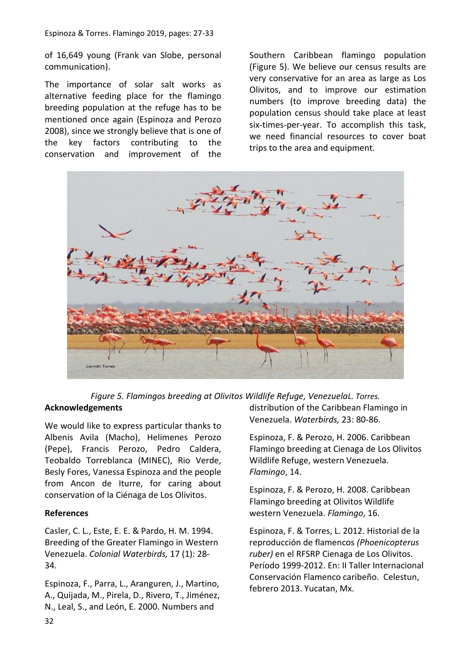of 16,649 young (Frank van Slobe, personal communication).

The importance of solar salt works as alternative feeding place for the flamingo breeding population at the refuge has to be mentioned once again (Espinoza and Perozo 2008), since we strongly believe that is one of the key factors contributing to the conservation and improvement of the

Southern Caribbean flamingo population (Figure 5). We believe our census results are very conservative for an area as large as Los Olivitos, and to improve our estimation numbers (to improve breeding data) the population census should take place at least six-times-per-year. To accomplish this task, we need financial resources to cover boat trips to the area and equipment.



# *Figure 5. Flamingos breeding at Olivitos Wildlife Refuge, VenezuelaL. Torres.* **Acknowledgements**

We would like to express particular thanks to Albenis Avila (Macho), Helimenes Perozo (Pepe), Francis Perozo, Pedro Caldera, Teobaldo Torreblanca (MINEC), Rio Verde, Besly Fores, Vanessa Espinoza and the people from Ancon de Iturre, for caring about conservation of la Ciénaga de Los Olivitos.

#### **References**

Casler, C. L., Este, E. E. & Pardo, H. M. 1994. Breeding of the Greater Flamingo in Western Venezuela. *Colonial Waterbirds,* 17 (1): 28- 34.

Espinoza, F., Parra, L., Aranguren, J., Martino, A., Quijada, M., Pirela, D., Rivero, T., Jiménez, N., Leal, S., and León, E. 2000. Numbers and

distribution of the Caribbean Flamingo in Venezuela. *Waterbirds,* 23: 80-86.

Espinoza, F. & Perozo, H. 2006. Caribbean Flamingo breeding at Cienaga de Los Olivitos Wildlife Refuge, western Venezuela. *Flamingo*, 14.

Espinoza, F. & Perozo, H. 2008. Caribbean Flamingo breeding at Olivitos Wildlife western Venezuela. *Flamingo*, 16.

Espinoza, F. & Torres, L. 2012. Historial de la reproducción de flamencos *(Phoenicopterus ruber)* en el RFSRP Cienaga de Los Olivitos. Período 1999-2012. En: II Taller Internacional Conservación Flamenco caribeño. Celestun, febrero 2013. Yucatan, Mx.